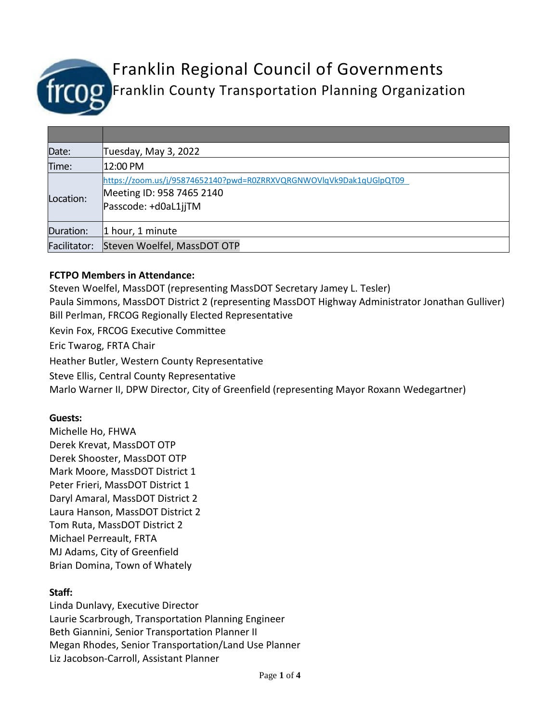

# Franklin Regional Council of Governments Franklin County Transportation Planning Organization

| Date:        | Tuesday, May 3, 2022                                                                                                    |
|--------------|-------------------------------------------------------------------------------------------------------------------------|
| Time:        | 12:00 PM                                                                                                                |
| Location:    | https://zoom.us/j/95874652140?pwd=R0ZRRXVQRGNWOVlqVk9Dak1qUGlpQT09<br>Meeting ID: 958 7465 2140<br>Passcode: +d0aL1jjTM |
| Duration:    | 1 hour, 1 minute                                                                                                        |
| Facilitator: | Steven Woelfel, MassDOT OTP                                                                                             |

# **FCTPO Members in Attendance:**

Steven Woelfel, MassDOT (representing MassDOT Secretary Jamey L. Tesler) Paula Simmons, MassDOT District 2 (representing MassDOT Highway Administrator Jonathan Gulliver) Bill Perlman, FRCOG Regionally Elected Representative Kevin Fox, FRCOG Executive Committee Eric Twarog, FRTA Chair Heather Butler, Western County Representative Steve Ellis, Central County Representative Marlo Warner II, DPW Director, City of Greenfield (representing Mayor Roxann Wedegartner)

#### **Guests:**

Michelle Ho, FHWA Derek Krevat, MassDOT OTP Derek Shooster, MassDOT OTP Mark Moore, MassDOT District 1 Peter Frieri, MassDOT District 1 Daryl Amaral, MassDOT District 2 Laura Hanson, MassDOT District 2 Tom Ruta, MassDOT District 2 Michael Perreault, FRTA MJ Adams, City of Greenfield Brian Domina, Town of Whately

# **Staff:**

Linda Dunlavy, Executive Director Laurie Scarbrough, Transportation Planning Engineer Beth Giannini, Senior Transportation Planner II Megan Rhodes, Senior Transportation/Land Use Planner Liz Jacobson-Carroll, Assistant Planner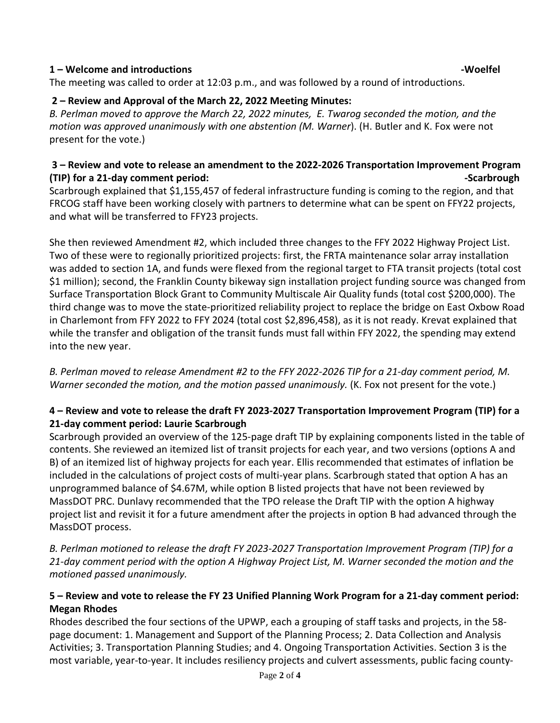#### **1 – Welcome and introductions -Woelfel**

The meeting was called to order at 12:03 p.m., and was followed by a round of introductions.

#### **2 – Review and Approval of the March 22, 2022 Meeting Minutes:**

*B. Perlman moved to approve the March 22, 2022 minutes, E. Twarog seconded the motion, and the motion was approved unanimously with one abstention (M. Warner*). (H. Butler and K. Fox were not present for the vote.)

#### **3 – Review and vote to release an amendment to the 2022-2026 Transportation Improvement Program (TIP)** for a 21-day comment period:  $\blacksquare$

Scarbrough explained that \$1,155,457 of federal infrastructure funding is coming to the region, and that FRCOG staff have been working closely with partners to determine what can be spent on FFY22 projects, and what will be transferred to FFY23 projects.

She then reviewed Amendment #2, which included three changes to the FFY 2022 Highway Project List. Two of these were to regionally prioritized projects: first, the FRTA maintenance solar array installation was added to section 1A, and funds were flexed from the regional target to FTA transit projects (total cost \$1 million); second, the Franklin County bikeway sign installation project funding source was changed from Surface Transportation Block Grant to Community Multiscale Air Quality funds (total cost \$200,000). The third change was to move the state-prioritized reliability project to replace the bridge on East Oxbow Road in Charlemont from FFY 2022 to FFY 2024 (total cost \$2,896,458), as it is not ready. Krevat explained that while the transfer and obligation of the transit funds must fall within FFY 2022, the spending may extend into the new year.

*B. Perlman moved to release Amendment #2 to the FFY 2022-2026 TIP for a 21-day comment period, M. Warner seconded the motion, and the motion passed unanimously.* (K. Fox not present for the vote.)

# **4 – Review and vote to release the draft FY 2023-2027 Transportation Improvement Program (TIP) for a 21-day comment period: Laurie Scarbrough**

Scarbrough provided an overview of the 125-page draft TIP by explaining components listed in the table of contents. She reviewed an itemized list of transit projects for each year, and two versions (options A and B) of an itemized list of highway projects for each year. Ellis recommended that estimates of inflation be included in the calculations of project costs of multi-year plans. Scarbrough stated that option A has an unprogrammed balance of \$4.67M, while option B listed projects that have not been reviewed by MassDOT PRC. Dunlavy recommended that the TPO release the Draft TIP with the option A highway project list and revisit it for a future amendment after the projects in option B had advanced through the MassDOT process.

*B. Perlman motioned to release the draft FY 2023-2027 Transportation Improvement Program (TIP) for a 21-day comment period with the option A Highway Project List, M. Warner seconded the motion and the motioned passed unanimously.*

# **5 – Review and vote to release the FY 23 Unified Planning Work Program for a 21-day comment period: Megan Rhodes**

Rhodes described the four sections of the UPWP, each a grouping of staff tasks and projects, in the 58 page document: 1. Management and Support of the Planning Process; 2. Data Collection and Analysis Activities; 3. Transportation Planning Studies; and 4. Ongoing Transportation Activities. Section 3 is the most variable, year-to-year. It includes resiliency projects and culvert assessments, public facing county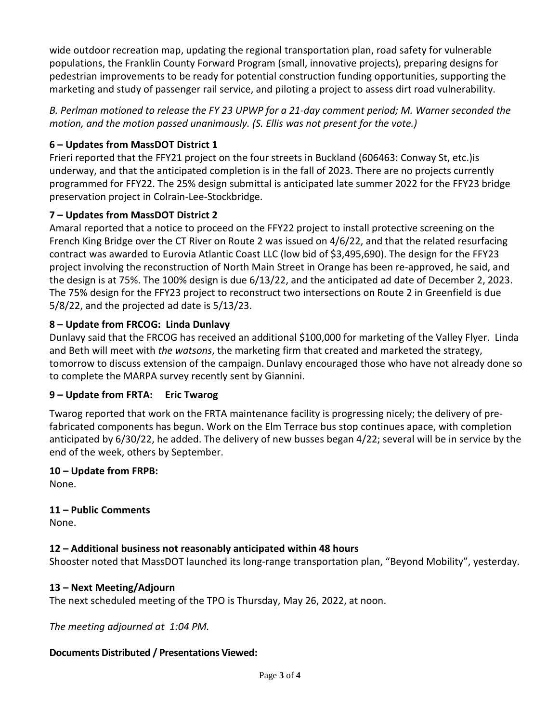wide outdoor recreation map, updating the regional transportation plan, road safety for vulnerable populations, the Franklin County Forward Program (small, innovative projects), preparing designs for pedestrian improvements to be ready for potential construction funding opportunities, supporting the marketing and study of passenger rail service, and piloting a project to assess dirt road vulnerability.

*B. Perlman motioned to release the FY 23 UPWP for a 21-day comment period; M. Warner seconded the motion, and the motion passed unanimously. (S. Ellis was not present for the vote.)* 

# **6 – Updates from MassDOT District 1**

Frieri reported that the FFY21 project on the four streets in Buckland (606463: Conway St, etc.)is underway, and that the anticipated completion is in the fall of 2023. There are no projects currently programmed for FFY22. The 25% design submittal is anticipated late summer 2022 for the FFY23 bridge preservation project in Colrain-Lee-Stockbridge.

# **7 – Updates from MassDOT District 2**

Amaral reported that a notice to proceed on the FFY22 project to install protective screening on the French King Bridge over the CT River on Route 2 was issued on 4/6/22, and that the related resurfacing contract was awarded to Eurovia Atlantic Coast LLC (low bid of \$3,495,690). The design for the FFY23 project involving the reconstruction of North Main Street in Orange has been re-approved, he said, and the design is at 75%. The 100% design is due 6/13/22, and the anticipated ad date of December 2, 2023. The 75% design for the FFY23 project to reconstruct two intersections on Route 2 in Greenfield is due 5/8/22, and the projected ad date is 5/13/23.

# **8 – Update from FRCOG: Linda Dunlavy**

Dunlavy said that the FRCOG has received an additional \$100,000 for marketing of the Valley Flyer. Linda and Beth will meet with *the watsons*, the marketing firm that created and marketed the strategy, tomorrow to discuss extension of the campaign. Dunlavy encouraged those who have not already done so to complete the MARPA survey recently sent by Giannini.

#### **9 – Update from FRTA: Eric Twarog**

Twarog reported that work on the FRTA maintenance facility is progressing nicely; the delivery of prefabricated components has begun. Work on the Elm Terrace bus stop continues apace, with completion anticipated by 6/30/22, he added. The delivery of new busses began 4/22; several will be in service by the end of the week, others by September.

#### **10 – Update from FRPB:**  None.

**11 – Public Comments** 

None.

# **12 – Additional business not reasonably anticipated within 48 hours**

Shooster noted that MassDOT launched its long-range transportation plan, "Beyond Mobility", yesterday.

#### **13 – Next Meeting/Adjourn**

The next scheduled meeting of the TPO is Thursday, May 26, 2022, at noon.

*The meeting adjourned at 1:04 PM.* 

#### **Documents Distributed / Presentations Viewed:**